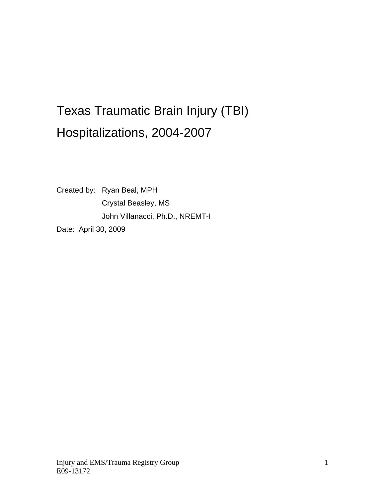# Texas Traumatic Brain Injury (TBI) Hospitalizations, 2004-2007

Created by: Ryan Beal, MPH Crystal Beasley, MS John Villanacci, Ph.D., NREMT-I Date: April 30, 2009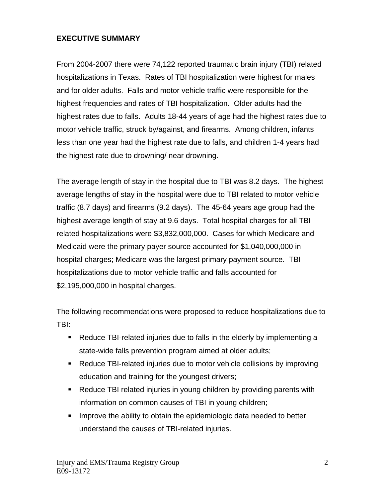## **EXECUTIVE SUMMARY**

From 2004-2007 there were 74,122 reported traumatic brain injury (TBI) related hospitalizations in Texas. Rates of TBI hospitalization were highest for males and for older adults. Falls and motor vehicle traffic were responsible for the highest frequencies and rates of TBI hospitalization. Older adults had the highest rates due to falls. Adults 18-44 years of age had the highest rates due to motor vehicle traffic, struck by/against, and firearms. Among children, infants less than one year had the highest rate due to falls, and children 1-4 years had the highest rate due to drowning/ near drowning.

The average length of stay in the hospital due to TBI was 8.2 days. The highest average lengths of stay in the hospital were due to TBI related to motor vehicle traffic (8.7 days) and firearms (9.2 days). The 45-64 years age group had the highest average length of stay at 9.6 days. Total hospital charges for all TBI related hospitalizations were \$3,832,000,000. Cases for which Medicare and Medicaid were the primary payer source accounted for \$1,040,000,000 in hospital charges; Medicare was the largest primary payment source. TBI hospitalizations due to motor vehicle traffic and falls accounted for \$2,195,000,000 in hospital charges.

The following recommendations were proposed to reduce hospitalizations due to TBI:

- Reduce TBI-related injuries due to falls in the elderly by implementing a state-wide falls prevention program aimed at older adults;
- Reduce TBI-related injuries due to motor vehicle collisions by improving education and training for the youngest drivers;
- Reduce TBI related injuries in young children by providing parents with information on common causes of TBI in young children;
- **IMPROVE the ability to obtain the epidemiologic data needed to better** understand the causes of TBI-related injuries.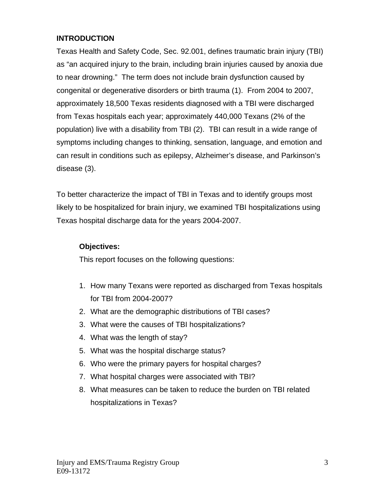## **INTRODUCTION**

Texas Health and Safety Code, Sec. 92.001, defines traumatic brain injury (TBI) as "an acquired injury to the brain, including brain injuries caused by anoxia due to near drowning." The term does not include brain dysfunction caused by congenital or degenerative disorders or birth trauma (1). From 2004 to 2007, approximately 18,500 Texas residents diagnosed with a TBI were discharged from Texas hospitals each year; approximately 440,000 Texans (2% of the population) live with a disability from TBI (2). TBI can result in a wide range of symptoms including changes to thinking, sensation, language, and emotion and can result in conditions such as epilepsy, Alzheimer's disease, and Parkinson's disease (3).

To better characterize the impact of TBI in Texas and to identify groups most likely to be hospitalized for brain injury, we examined TBI hospitalizations using Texas hospital discharge data for the years 2004-2007.

## **Objectives:**

This report focuses on the following questions:

- 1. How many Texans were reported as discharged from Texas hospitals for TBI from 2004-2007?
- 2. What are the demographic distributions of TBI cases?
- 3. What were the causes of TBI hospitalizations?
- 4. What was the length of stay?
- 5. What was the hospital discharge status?
- 6. Who were the primary payers for hospital charges?
- 7. What hospital charges were associated with TBI?
- 8. What measures can be taken to reduce the burden on TBI related hospitalizations in Texas?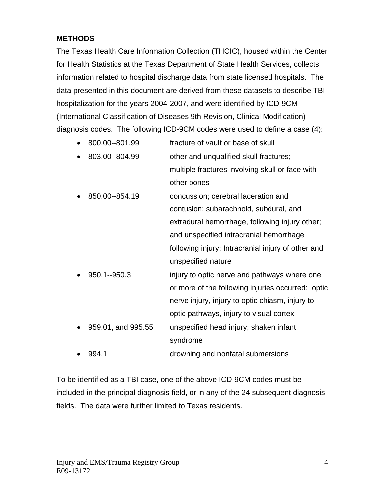## **METHODS**

The Texas Health Care Information Collection (THCIC), housed within the Center for Health Statistics at the Texas Department of State Health Services, collects information related to hospital discharge data from state licensed hospitals. The data presented in this document are derived from these datasets to describe TBI hospitalization for the years 2004-2007, and were identified by ICD-9CM (International Classification of Diseases 9th Revision, Clinical Modification) diagnosis codes. The following ICD-9CM codes were used to define a case (4):

- 800.00--801.99 fracture of vault or base of skull • 803.00--804.99 other and unqualified skull fractures; multiple fractures involving skull or face with
	- other bones • 850.00--854.19 concussion; cerebral laceration and contusion; subarachnoid, subdural, and extradural hemorrhage, following injury other;

and unspecified intracranial hemorrhage following injury; Intracranial injury of other and unspecified nature

- 950.1--950.3 injury to optic nerve and pathways where one or more of the following injuries occurred: optic nerve injury, injury to optic chiasm, injury to optic pathways, injury to visual cortex • 959.01, and 995.55 unspecified head injury; shaken infant syndrome
- 994.1 drowning and nonfatal submersions

To be identified as a TBI case, one of the above ICD-9CM codes must be included in the principal diagnosis field, or in any of the 24 subsequent diagnosis fields. The data were further limited to Texas residents.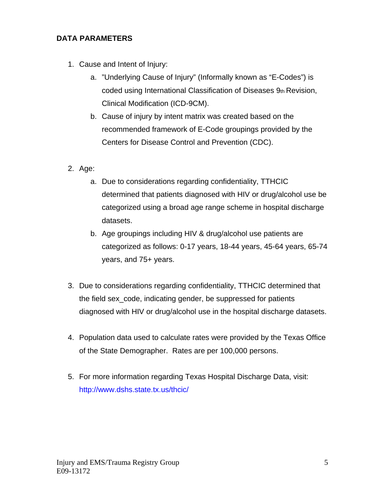## **DATA PARAMETERS**

- 1. Cause and Intent of Injury:
	- a. "Underlying Cause of Injury" (Informally known as "E-Codes") is coded using International Classification of Diseases 9th Revision, Clinical Modification (ICD-9CM).
	- b. Cause of injury by intent matrix was created based on the recommended framework of E-Code groupings provided by the Centers for Disease Control and Prevention (CDC).
- 2. Age:
	- a. Due to considerations regarding confidentiality, TTHCIC determined that patients diagnosed with HIV or drug/alcohol use be categorized using a broad age range scheme in hospital discharge datasets.
	- b. Age groupings including HIV & drug/alcohol use patients are categorized as follows: 0-17 years, 18-44 years, 45-64 years, 65-74 years, and 75+ years.
- 3. Due to considerations regarding confidentiality, TTHCIC determined that the field sex\_code, indicating gender, be suppressed for patients diagnosed with HIV or drug/alcohol use in the hospital discharge datasets.
- 4. Population data used to calculate rates were provided by the Texas Office of the State Demographer. Rates are per 100,000 persons.
- 5. For more information regarding Texas Hospital Discharge Data, visit: http://www.dshs.state.tx.us/thcic/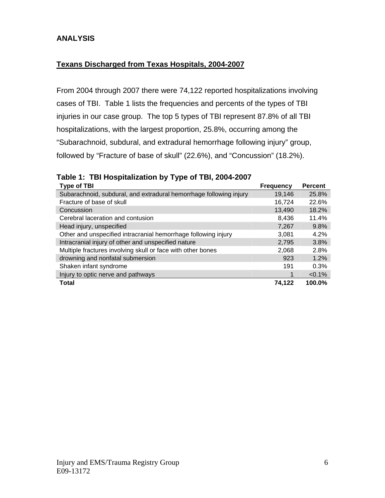## **ANALYSIS**

## **Texans Discharged from Texas Hospitals, 2004-2007**

From 2004 through 2007 there were 74,122 reported hospitalizations involving cases of TBI. Table 1 lists the frequencies and percents of the types of TBI injuries in our case group. The top 5 types of TBI represent 87.8% of all TBI hospitalizations, with the largest proportion, 25.8%, occurring among the "Subarachnoid, subdural, and extradural hemorrhage following injury" group, followed by "Fracture of base of skull" (22.6%), and "Concussion" (18.2%).

|--|

| <b>Type of TBI</b>                                                 | <b>Frequency</b> | <b>Percent</b> |
|--------------------------------------------------------------------|------------------|----------------|
| Subarachnoid, subdural, and extradural hemorrhage following injury | 19,146           | 25.8%          |
| Fracture of base of skull                                          | 16,724           | 22.6%          |
| Concussion                                                         | 13,490           | 18.2%          |
| Cerebral laceration and contusion                                  | 8,436            | 11.4%          |
| Head injury, unspecified                                           | 7,267            | 9.8%           |
| Other and unspecified intracranial hemorrhage following injury     | 3,081            | 4.2%           |
| Intracranial injury of other and unspecified nature                | 2,795            | 3.8%           |
| Multiple fractures involving skull or face with other bones        | 2,068            | 2.8%           |
| drowning and nonfatal submersion                                   | 923              | 1.2%           |
| Shaken infant syndrome                                             | 191              | 0.3%           |
| Injury to optic nerve and pathways                                 | 1                | $< 0.1\%$      |
| Total                                                              | 74.122           | 100.0%         |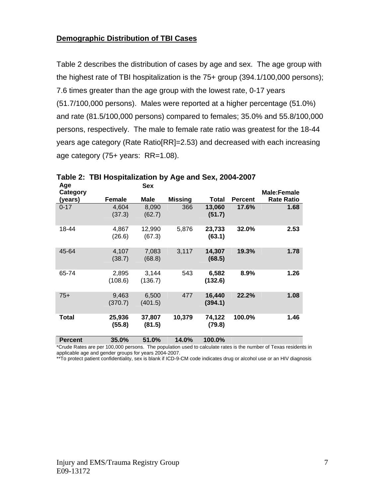#### **Demographic Distribution of TBI Cases**

Table 2 describes the distribution of cases by age and sex. The age group with the highest rate of TBI hospitalization is the 75+ group (394.1/100,000 persons); 7.6 times greater than the age group with the lowest rate, 0-17 years (51.7/100,000 persons). Males were reported at a higher percentage (51.0%) and rate (81.5/100,000 persons) compared to females; 35.0% and 55.8/100,000 persons, respectively. The male to female rate ratio was greatest for the 18-44 years age category (Rate Ratio[RR]=2.53) and decreased with each increasing age category (75+ years: RR=1.08).

| Age            |                  | <b>Sex</b>       |                |                   |                |                   |
|----------------|------------------|------------------|----------------|-------------------|----------------|-------------------|
| Category       |                  |                  |                |                   |                | Male:Female       |
| (years)        | <b>Female</b>    | Male             | <b>Missing</b> | Total             | <b>Percent</b> | <b>Rate Ratio</b> |
| $0 - 17$       | 4,604<br>(37.3)  | 8,090<br>(62.7)  | 366            | 13,060<br>(51.7)  | 17.6%          | 1.68              |
| 18-44          | 4,867<br>(26.6)  | 12,990<br>(67.3) | 5,876          | 23,733<br>(63.1)  | 32.0%          | 2.53              |
| 45-64          | 4,107<br>(38.7)  | 7,083<br>(68.8)  | 3,117          | 14,307<br>(68.5)  | 19.3%          | 1.78              |
| 65-74          | 2,895<br>(108.6) | 3,144<br>(136.7) | 543            | 6,582<br>(132.6)  | 8.9%           | 1.26              |
| $75+$          | 9,463<br>(370.7) | 6,500<br>(401.5) | 477            | 16,440<br>(394.1) | 22.2%          | 1.08              |
| Total          | 25,936<br>(55.8) | 37,807<br>(81.5) | 10,379         | 74,122<br>(79.8)  | 100.0%         | 1.46              |
| <b>Percent</b> | 35.0%            | 51.0%            | 14.0%          | 100.0%            |                |                   |

## **Table 2: TBI Hospitalization by Age and Sex, 2004-2007**

\*Crude Rates are per 100,000 persons. The population used to calculate rates is the number of Texas residents in applicable age and gender groups for years 2004-2007.

\*\*To protect patient confidentiality, sex is blank if ICD-9-CM code indicates drug or alcohol use or an HIV diagnosis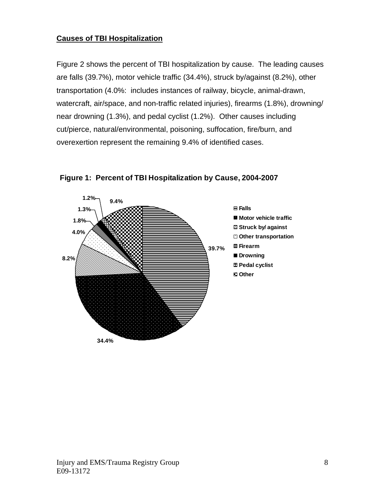## **Causes of TBI Hospitalization**

Figure 2 shows the percent of TBI hospitalization by cause. The leading causes are falls (39.7%), motor vehicle traffic (34.4%), struck by/against (8.2%), other transportation (4.0%: includes instances of railway, bicycle, animal-drawn, watercraft, air/space, and non-traffic related injuries), firearms (1.8%), drowning/ near drowning (1.3%), and pedal cyclist (1.2%). Other causes including cut/pierce, natural/environmental, poisoning, suffocation, fire/burn, and overexertion represent the remaining 9.4% of identified cases.



**Figure 1: Percent of TBI Hospitalization by Cause, 2004-2007**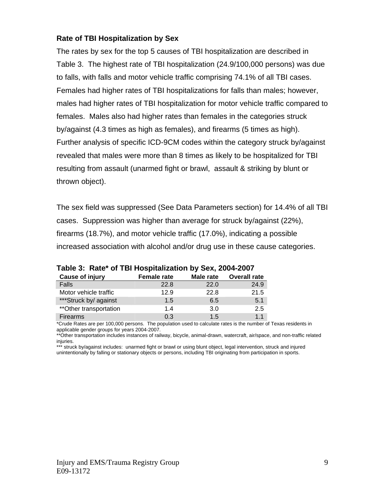## **Rate of TBI Hospitalization by Sex**

The rates by sex for the top 5 causes of TBI hospitalization are described in Table 3. The highest rate of TBI hospitalization (24.9/100,000 persons) was due to falls, with falls and motor vehicle traffic comprising 74.1% of all TBI cases. Females had higher rates of TBI hospitalizations for falls than males; however, males had higher rates of TBI hospitalization for motor vehicle traffic compared to females. Males also had higher rates than females in the categories struck by/against (4.3 times as high as females), and firearms (5 times as high). Further analysis of specific ICD-9CM codes within the category struck by/against revealed that males were more than 8 times as likely to be hospitalized for TBI resulting from assault (unarmed fight or brawl, assault & striking by blunt or thrown object).

The sex field was suppressed (See Data Parameters section) for 14.4% of all TBI cases. Suppression was higher than average for struck by/against (22%), firearms (18.7%), and motor vehicle traffic (17.0%), indicating a possible increased association with alcohol and/or drug use in these cause categories.

| Cause of injury         | <b>Female rate</b> | Male rate | <b>Overall rate</b> |
|-------------------------|--------------------|-----------|---------------------|
| Falls                   | 22.8               | 22.0      | 24.9                |
| Motor vehicle traffic   | 12.9               | 22.8      | 21.5                |
| ***Struck by/ against   | 1.5                | 6.5       | 5.1                 |
| ** Other transportation | 1.4                | 3.0       | 2.5                 |
| Firearms                | 0.3                | 1.5       | 1 <sub>1</sub>      |

**Table 3: Rate\* of TBI Hospitalization by Sex, 2004-2007** 

\*Crude Rates are per 100,000 persons. The population used to calculate rates is the number of Texas residents in applicable gender groups for years 2004-2007.

\*\*Other transportation includes instances of railway, bicycle, animal-drawn, watercraft, air/space, and non-traffic related iniuries.

\*\*\* struck by/against includes: unarmed fight or brawl or using blunt object, legal intervention, struck and injured unintentionally by falling or stationary objects or persons, including TBI originating from participation in sports.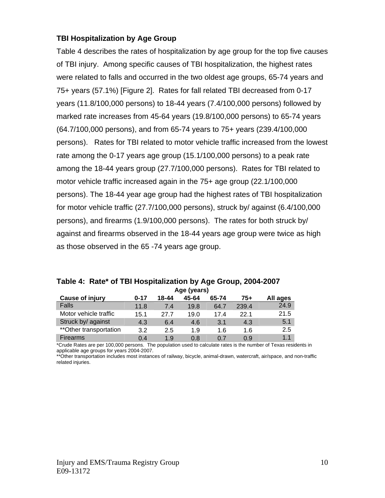## **TBI Hospitalization by Age Group**

Table 4 describes the rates of hospitalization by age group for the top five causes of TBI injury. Among specific causes of TBI hospitalization, the highest rates were related to falls and occurred in the two oldest age groups, 65-74 years and 75+ years (57.1%) [Figure 2]. Rates for fall related TBI decreased from 0-17 years (11.8/100,000 persons) to 18-44 years (7.4/100,000 persons) followed by marked rate increases from 45-64 years (19.8/100,000 persons) to 65-74 years (64.7/100,000 persons), and from 65-74 years to 75+ years (239.4/100,000 persons). Rates for TBI related to motor vehicle traffic increased from the lowest rate among the 0-17 years age group (15.1/100,000 persons) to a peak rate among the 18-44 years group (27.7/100,000 persons). Rates for TBI related to motor vehicle traffic increased again in the 75+ age group (22.1/100,000 persons). The 18-44 year age group had the highest rates of TBI hospitalization for motor vehicle traffic (27.7/100,000 persons), struck by/ against (6.4/100,000 persons), and firearms (1.9/100,000 persons). The rates for both struck by/ against and firearms observed in the 18-44 years age group were twice as high as those observed in the 65 -74 years age group.

|                         | Age (years) |       |       |       |       |          |  |  |  |
|-------------------------|-------------|-------|-------|-------|-------|----------|--|--|--|
| <b>Cause of injury</b>  | $0 - 17$    | 18-44 | 45-64 | 65-74 | 75+   | All ages |  |  |  |
| Falls                   | 11.8        | 7.4   | 19.8  | 64.7  | 239.4 | 24.9     |  |  |  |
| Motor vehicle traffic   | 15.1        | 27.7  | 19.0  | 17.4  | 22.1  | 21.5     |  |  |  |
| Struck by/ against      | 4.3         | 6.4   | 4.6   | 3.1   | 4.3   | 5.1      |  |  |  |
| ** Other transportation | 3.2         | 2.5   | 1.9   | 1.6   | 1.6   | 2.5      |  |  |  |
| Firearms                | 0.4         | 1.9   | 0.8   | 0.7   | 0.9   | 1.1      |  |  |  |

|  | Table 4: Rate* of TBI Hospitalization by Age Group, 2004-2007 |                                               |  |  |  |
|--|---------------------------------------------------------------|-----------------------------------------------|--|--|--|
|  |                                                               | $A \rightarrow A \rightarrow A \rightarrow A$ |  |  |  |

\*Crude Rates are per 100,000 persons. The population used to calculate rates is the number of Texas residents in applicable age groups for years 2004-2007.

\*\*Other transportation includes most instances of railway, bicycle, animal-drawn, watercraft, air/space, and non-traffic related injuries.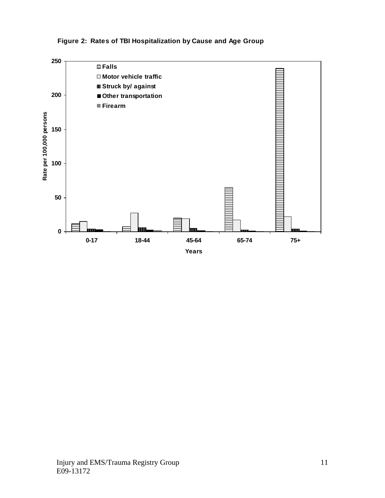

#### **Figure 2: Rates of TBI Hospitalization by Cause and Age Group**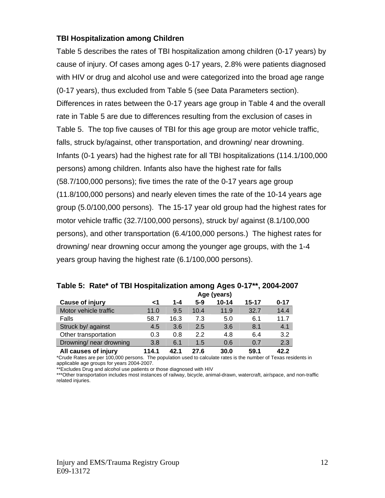#### **TBI Hospitalization among Children**

Table 5 describes the rates of TBI hospitalization among children (0-17 years) by cause of injury. Of cases among ages 0-17 years, 2.8% were patients diagnosed with HIV or drug and alcohol use and were categorized into the broad age range (0-17 years), thus excluded from Table 5 (see Data Parameters section). Differences in rates between the 0-17 years age group in Table 4 and the overall rate in Table 5 are due to differences resulting from the exclusion of cases in Table 5. The top five causes of TBI for this age group are motor vehicle traffic, falls, struck by/against, other transportation, and drowning/ near drowning. Infants (0-1 years) had the highest rate for all TBI hospitalizations (114.1/100,000 persons) among children. Infants also have the highest rate for falls (58.7/100,000 persons); five times the rate of the 0-17 years age group (11.8/100,000 persons) and nearly eleven times the rate of the 10-14 years age group (5.0/100,000 persons). The 15-17 year old group had the highest rates for motor vehicle traffic (32.7/100,000 persons), struck by/ against (8.1/100,000 persons), and other transportation (6.4/100,000 persons.) The highest rates for drowning/ near drowning occur among the younger age groups, with the 1-4 years group having the highest rate (6.1/100,000 persons).

|                         | Age (years) |      |         |           |           |          |
|-------------------------|-------------|------|---------|-----------|-----------|----------|
| <b>Cause of injury</b>  | ا>          | 1-4  | $5 - 9$ | $10 - 14$ | $15 - 17$ | $0 - 17$ |
| Motor vehicle traffic   | 11.0        | 9.5  | 10.4    | 11.9      | 32.7      | 14.4     |
| Falls                   | 58.7        | 16.3 | 7.3     | 5.0       | 6.1       | 11.7     |
| Struck by/ against      | 4.5         | 3.6  | 2.5     | 3.6       | 8.1       | 4.1      |
| Other transportation    | 0.3         | 0.8  | 2.2     | 4.8       | 6.4       | 3.2      |
| Drowning/ near drowning | 3.8         | 6.1  | 1.5     | 0.6       | 0.7       | 2.3      |
| All causes of injury    | 114.1       | 42.1 | 27.6    | 30.0      | 59.1      | 42.2     |

**Table 5: Rate\* of TBI Hospitalization among Ages 0-17\*\*, 2004-2007** 

\*Crude Rates are per 100,000 persons. The population used to calculate rates is the number of Texas residents in applicable age groups for years 2004-2007.

\*Excludes Drug and alcohol use patients or those diagnosed with HIV

\*\*\*Other transportation includes most instances of railway, bicycle, animal-drawn, watercraft, air/space, and non-traffic related injuries.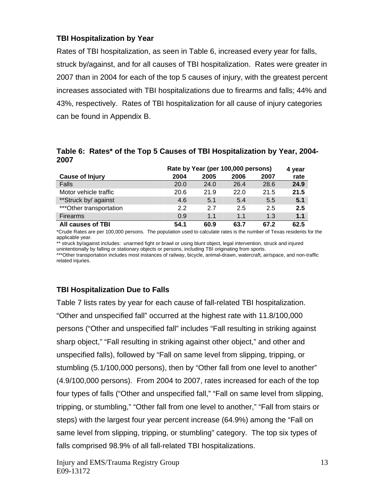## **TBI Hospitalization by Year**

Rates of TBI hospitalization, as seen in Table 6, increased every year for falls, struck by/against, and for all causes of TBI hospitalization. Rates were greater in 2007 than in 2004 for each of the top 5 causes of injury, with the greatest percent increases associated with TBI hospitalizations due to firearms and falls; 44% and 43%, respectively. Rates of TBI hospitalization for all cause of injury categories can be found in Appendix B.

**Table 6: Rates\* of the Top 5 Causes of TBI Hospitalization by Year, 2004- 2007** 

|                          |      | Rate by Year (per 100,000 persons) |      |      |      |  |  |
|--------------------------|------|------------------------------------|------|------|------|--|--|
| <b>Cause of Injury</b>   | 2004 | 2005                               | 2006 | 2007 | rate |  |  |
| Falls                    | 20.0 | 24.0                               | 26.4 | 28.6 | 24.9 |  |  |
| Motor vehicle traffic    | 20.6 | 21.9                               | 22.0 | 21.5 | 21.5 |  |  |
| **Struck by/ against     | 4.6  | 5.1                                | 5.4  | 5.5  | 5.1  |  |  |
| *** Other transportation | 22   | 27                                 | 2.5  | 2.5  | 2.5  |  |  |
| Firearms                 | 0.9  | 1.1                                | 1.1  | 1.3  | 1.1  |  |  |
| All causes of TBI        | 54.1 | 60.9                               | 63.7 | 67.2 | 62.5 |  |  |

\*Crude Rates are per 100,000 persons. The population used to calculate rates is the number of Texas residents for the applicable year.

\*\* struck by/against includes: unarmed fight or brawl or using blunt object, legal intervention, struck and injured unintentionally by falling or stationary objects or persons, including TBI originating from sports.

\*\*\*Other transportation includes most instances of railway, bicycle, animal-drawn, watercraft, air/space, and non-traffic related injuries.

## **TBI Hospitalization Due to Falls**

Table 7 lists rates by year for each cause of fall-related TBI hospitalization. "Other and unspecified fall" occurred at the highest rate with 11.8/100,000 persons ("Other and unspecified fall" includes "Fall resulting in striking against sharp object," "Fall resulting in striking against other object," and other and unspecified falls), followed by "Fall on same level from slipping, tripping, or stumbling (5.1/100,000 persons), then by "Other fall from one level to another" (4.9/100,000 persons). From 2004 to 2007, rates increased for each of the top four types of falls ("Other and unspecified fall," "Fall on same level from slipping, tripping, or stumbling," "Other fall from one level to another," "Fall from stairs or steps) with the largest four year percent increase (64.9%) among the "Fall on same level from slipping, tripping, or stumbling" category. The top six types of falls comprised 98.9% of all fall-related TBI hospitalizations.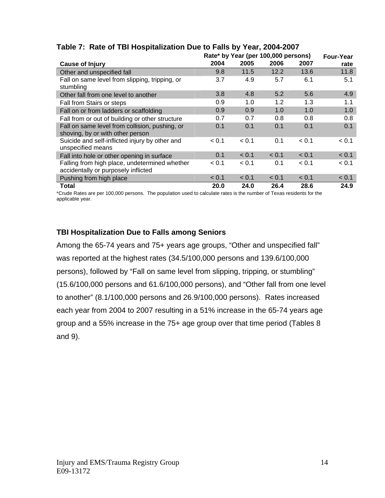|                                                                                      |       | Rate* by Year (per 100,000 persons) |       |       | <b>Four-Year</b> |
|--------------------------------------------------------------------------------------|-------|-------------------------------------|-------|-------|------------------|
| <b>Cause of Injury</b>                                                               | 2004  | 2005                                | 2006  | 2007  | rate             |
| Other and unspecified fall                                                           | 9.8   | 11.5                                | 12.2  | 13.6  | 11.8             |
| Fall on same level from slipping, tripping, or<br>stumbling                          | 3.7   | 4.9                                 | 5.7   | 6.1   | 5.1              |
| Other fall from one level to another                                                 | 3.8   | 4.8                                 | 5.2   | 5.6   | 4.9              |
| Fall from Stairs or steps                                                            | 0.9   | 1.0                                 | 1.2   | 1.3   | 1.1              |
| Fall on or from ladders or scaffolding                                               | 0.9   | 0.9                                 | 1.0   | 1.0   | 1.0              |
| Fall from or out of building or other structure                                      | 0.7   | 0.7                                 | 0.8   | 0.8   | 0.8              |
| Fall on same level from collision, pushing, or                                       | 0.1   | 0.1                                 | 0.1   | 0.1   | 0.1              |
| shoving, by or with other person                                                     |       |                                     |       |       |                  |
| Suicide and self-inflicted injury by other and<br>unspecified means                  | < 0.1 | < 0.1                               | 0.1   | < 0.1 | < 0.1            |
| Fall into hole or other opening in surface                                           | 0.1   | < 0.1                               | < 0.1 | < 0.1 | < 0.1            |
| Falling from high place, undetermined whether<br>accidentally or purposely inflicted | < 0.1 | < 0.1                               | 0.1   | < 0.1 | < 0.1            |
| Pushing from high place                                                              | < 0.1 | < 0.1                               | < 0.1 | < 0.1 | < 0.1            |
| Total                                                                                | 20.0  | 24.0                                | 26.4  | 28.6  | 24.9             |

## **Table 7: Rate of TBI Hospitalization Due to Falls by Year, 2004-2007**

\*Crude Rates are per 100,000 persons. The population used to calculate rates is the number of Texas residents for the applicable year.

## **TBI Hospitalization Due to Falls among Seniors**

Among the 65-74 years and 75+ years age groups, "Other and unspecified fall" was reported at the highest rates (34.5/100,000 persons and 139.6/100,000 persons), followed by "Fall on same level from slipping, tripping, or stumbling" (15.6/100,000 persons and 61.6/100,000 persons), and "Other fall from one level to another" (8.1/100,000 persons and 26.9/100,000 persons). Rates increased each year from 2004 to 2007 resulting in a 51% increase in the 65-74 years age group and a 55% increase in the 75+ age group over that time period (Tables 8 and 9).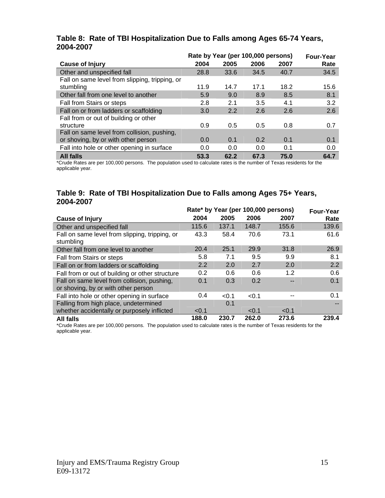|                                                |      | Rate by Year (per 100,000 persons) |      |      |      |  |  |  |
|------------------------------------------------|------|------------------------------------|------|------|------|--|--|--|
| <b>Cause of Injury</b>                         | 2004 | 2005                               | 2006 | 2007 | Rate |  |  |  |
| Other and unspecified fall                     | 28.8 | 33.6                               | 34.5 | 40.7 | 34.5 |  |  |  |
| Fall on same level from slipping, tripping, or |      |                                    |      |      |      |  |  |  |
| stumbling                                      | 11.9 | 14.7                               | 17.1 | 18.2 | 15.6 |  |  |  |
| Other fall from one level to another           | 5.9  | 9.0                                | 8.9  | 8.5  | 8.1  |  |  |  |
| Fall from Stairs or steps                      | 2.8  | 2.1                                | 3.5  | 4.1  | 3.2  |  |  |  |
| Fall on or from ladders or scaffolding         | 3.0  | 2.2                                | 2.6  | 2.6  | 2.6  |  |  |  |
| Fall from or out of building or other          |      |                                    |      |      |      |  |  |  |
| structure                                      | 0.9  | 0.5                                | 0.5  | 0.8  | 0.7  |  |  |  |
| Fall on same level from collision, pushing,    |      |                                    |      |      |      |  |  |  |
| or shoving, by or with other person            | 0.0  | 0.1                                | 0.2  | 0.1  | 0.1  |  |  |  |
| Fall into hole or other opening in surface     | 0.0  | 0.0                                | 0.0  | 0.1  | 0.0  |  |  |  |
| <b>All falls</b>                               | 53.3 | 62.2                               | 67.3 | 75.0 | 64.7 |  |  |  |

#### **Table 8: Rate of TBI Hospitalization Due to Falls among Ages 65-74 Years, 2004-2007**

\*Crude Rates are per 100,000 persons. The population used to calculate rates is the number of Texas residents for the applicable year.

#### **Table 9: Rate of TBI Hospitalization Due to Falls among Ages 75+ Years, 2004-2007**

|                                                                                    |       | Rate* by Year (per 100,000 persons) | Four-Year |       |       |
|------------------------------------------------------------------------------------|-------|-------------------------------------|-----------|-------|-------|
| <b>Cause of Injury</b>                                                             | 2004  | 2005                                | 2006      | 2007  | Rate  |
| Other and unspecified fall                                                         | 115.6 | 137.1                               | 148.7     | 155.6 | 139.6 |
| Fall on same level from slipping, tripping, or<br>stumbling                        | 43.3  | 58.4                                | 70.6      | 73.1  | 61.6  |
| Other fall from one level to another                                               | 20.4  | 25.1                                | 29.9      | 31.8  | 26.9  |
| Fall from Stairs or steps                                                          | 5.8   | 7.1                                 | 9.5       | 9.9   | 8.1   |
| Fall on or from ladders or scaffolding                                             | 2.2   | 2.0                                 | 2.7       | 2.0   | 2.2   |
| Fall from or out of building or other structure                                    | 0.2   | 0.6                                 | 0.6       | 1.2   | 0.6   |
| Fall on same level from collision, pushing,<br>or shoving, by or with other person | 0.1   | 0.3                                 | 0.2       |       | 0.1   |
| Fall into hole or other opening in surface                                         | 0.4   | < 0.1                               | < 0.1     |       | 0.1   |
| Falling from high place, undetermined                                              |       | 0.1                                 |           |       |       |
| whether accidentally or purposely inflicted                                        | < 0.1 |                                     | < 0.1     | < 0.1 |       |
| <b>All falls</b>                                                                   | 188.0 | 230.7                               | 262.0     | 273.6 | 239.4 |

\*Crude Rates are per 100,000 persons. The population used to calculate rates is the number of Texas residents for the applicable year.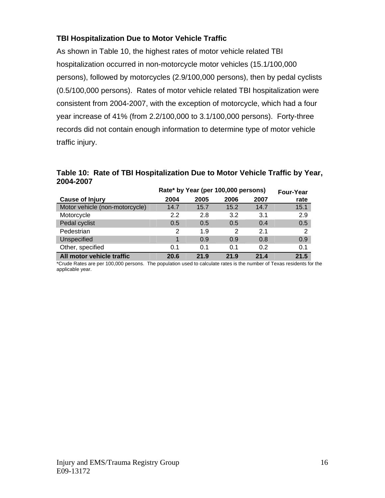## **TBI Hospitalization Due to Motor Vehicle Traffic**

As shown in Table 10, the highest rates of motor vehicle related TBI hospitalization occurred in non-motorcycle motor vehicles (15.1/100,000 persons), followed by motorcycles (2.9/100,000 persons), then by pedal cyclists (0.5/100,000 persons). Rates of motor vehicle related TBI hospitalization were consistent from 2004-2007, with the exception of motorcycle, which had a four year increase of 41% (from 2.2/100,000 to 3.1/100,000 persons). Forty-three records did not contain enough information to determine type of motor vehicle traffic injury.

|           | Table 10: Rate of TBI Hospitalization Due to Motor Vehicle Traffic by Year, |  |  |  |
|-----------|-----------------------------------------------------------------------------|--|--|--|
| 2004-2007 |                                                                             |  |  |  |

|                                | Rate* by Year (per 100,000 persons) | <b>Four-Year</b> |      |      |      |
|--------------------------------|-------------------------------------|------------------|------|------|------|
| <b>Cause of Injury</b>         | 2004                                | 2005             | 2006 | 2007 | rate |
| Motor vehicle (non-motorcycle) | 14.7                                | 15.7             | 15.2 | 14.7 | 15.1 |
| Motorcycle                     | 2.2                                 | 2.8              | 3.2  | 3.1  | 2.9  |
| Pedal cyclist                  | 0.5                                 | 0.5              | 0.5  | 0.4  | 0.5  |
| Pedestrian                     | 2                                   | 1.9              | 2    | 2.1  | 2    |
| Unspecified                    |                                     | 0.9              | 0.9  | 0.8  | 0.9  |
| Other, specified               | 0.1                                 | 0.1              | 0.1  | 0.2  | 0.1  |
| All motor vehicle traffic      | 20.6                                | 21.9             | 21.9 | 21.4 | 21.5 |

\*Crude Rates are per 100,000 persons. The population used to calculate rates is the number of Texas residents for the applicable year.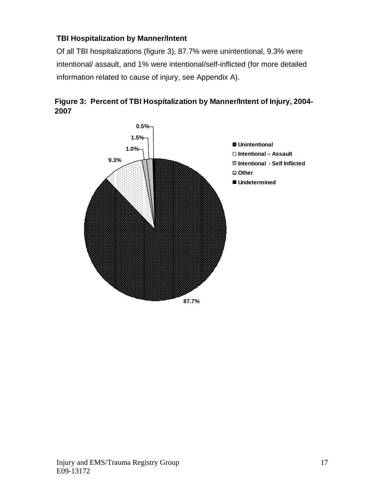## **TBI Hospitalization by Manner/Intent**

Of all TBI hospitalizations (figure 3), 87.7% were unintentional, 9.3% were intentional/ assault, and 1% were intentional/self-inflicted (for more detailed information related to cause of injury, see Appendix A).



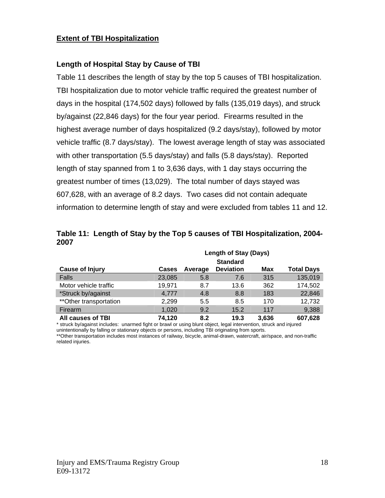#### **Extent of TBI Hospitalization**

#### **Length of Hospital Stay by Cause of TBI**

Table 11 describes the length of stay by the top 5 causes of TBI hospitalization. TBI hospitalization due to motor vehicle traffic required the greatest number of days in the hospital (174,502 days) followed by falls (135,019 days), and struck by/against (22,846 days) for the four year period. Firearms resulted in the highest average number of days hospitalized (9.2 days/stay), followed by motor vehicle traffic (8.7 days/stay). The lowest average length of stay was associated with other transportation (5.5 days/stay) and falls (5.8 days/stay). Reported length of stay spanned from 1 to 3,636 days, with 1 day stays occurring the greatest number of times (13,029). The total number of days stayed was 607,628, with an average of 8.2 days. Two cases did not contain adequate information to determine length of stay and were excluded from tables 11 and 12.

|                         | <b>Length of Stay (Days)</b> |         |                  |       |                   |  |  |
|-------------------------|------------------------------|---------|------------------|-------|-------------------|--|--|
|                         |                              |         | <b>Standard</b>  |       |                   |  |  |
| <b>Cause of Injury</b>  | <b>Cases</b>                 | Average | <b>Deviation</b> | Max   | <b>Total Days</b> |  |  |
| Falls                   | 23,085                       | 5.8     | 7.6              | 315   | 135,019           |  |  |
| Motor vehicle traffic   | 19,971                       | 8.7     | 13.6             | 362   | 174,502           |  |  |
| *Struck by/against      | 4.777                        | 4.8     | 8.8              | 183   | 22,846            |  |  |
| ** Other transportation | 2,299                        | 5.5     | 8.5              | 170   | 12,732            |  |  |
| Firearm                 | 1,020                        | 9.2     | 15.2             | 117   | 9,388             |  |  |
| All causes of TBI       | 74,120                       | 8.2     | 19.3             | 3,636 | 607,628           |  |  |

**Table 11: Length of Stay by the Top 5 causes of TBI Hospitalization, 2004- 2007**

\* struck by/against includes: unarmed fight or brawl or using blunt object, legal intervention, struck and injured

unintentionally by falling or stationary objects or persons, including TBI originating from sports.

\*\*Other transportation includes most instances of railway, bicycle, animal-drawn, watercraft, air/space, and non-traffic related injuries.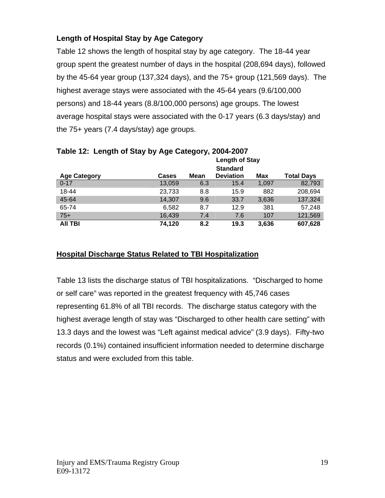## **Length of Hospital Stay by Age Category**

Table 12 shows the length of hospital stay by age category. The 18-44 year group spent the greatest number of days in the hospital (208,694 days), followed by the 45-64 year group (137,324 days), and the 75+ group (121,569 days). The highest average stays were associated with the 45-64 years (9.6/100,000 persons) and 18-44 years (8.8/100,000 persons) age groups. The lowest average hospital stays were associated with the 0-17 years (6.3 days/stay) and the 75+ years (7.4 days/stay) age groups.

|                     |              |      | <b>Length of Stay</b> |       |                   |
|---------------------|--------------|------|-----------------------|-------|-------------------|
|                     |              |      | <b>Standard</b>       |       |                   |
| <b>Age Category</b> | <b>Cases</b> | Mean | <b>Deviation</b>      | Max   | <b>Total Days</b> |
| $0 - 17$            | 13,059       | 6.3  | 15.4                  | 1,097 | 82,793            |
| 18-44               | 23,733       | 8.8  | 15.9                  | 882   | 208,694           |
| 45-64               | 14,307       | 9.6  | 33.7                  | 3,636 | 137,324           |
| 65-74               | 6,582        | 8.7  | 12.9                  | 381   | 57,248            |
| $75+$               | 16,439       | 7.4  | 7.6                   | 107   | 121,569           |
| AII TBI             | 74,120       | 8.2  | 19.3                  | 3,636 | 607,628           |

## **Table 12: Length of Stay by Age Category, 2004-2007**

## **Hospital Discharge Status Related to TBI Hospitalization**

Table 13 lists the discharge status of TBI hospitalizations. "Discharged to home or self care" was reported in the greatest frequency with 45,746 cases representing 61.8% of all TBI records. The discharge status category with the highest average length of stay was "Discharged to other health care setting" with 13.3 days and the lowest was "Left against medical advice" (3.9 days). Fifty-two records (0.1%) contained insufficient information needed to determine discharge status and were excluded from this table.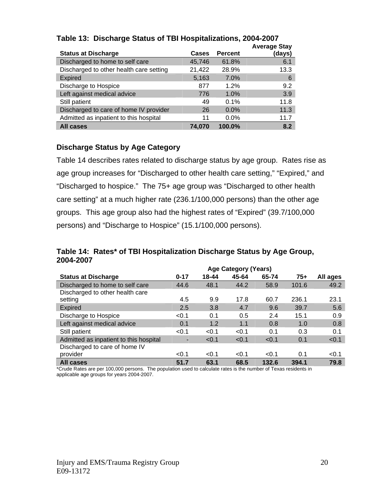| <b>Status at Discharge</b>              | Cases  | <b>Percent</b> | <b>Average Stay</b><br>(days) |
|-----------------------------------------|--------|----------------|-------------------------------|
| Discharged to home to self care         | 45,746 | 61.8%          | 6.1                           |
| Discharged to other health care setting | 21,422 | 28.9%          | 13.3                          |
| <b>Expired</b>                          | 5,163  | 7.0%           | 6                             |
| Discharge to Hospice                    | 877    | 1.2%           | 9.2                           |
| Left against medical advice             | 776    | 1.0%           | 3.9                           |
| Still patient                           | 49     | 0.1%           | 11.8                          |
| Discharged to care of home IV provider  | 26     | $0.0\%$        | 11.3                          |
| Admitted as inpatient to this hospital  | 11     | $0.0\%$        | 11.7                          |
| <b>All cases</b>                        | 74.070 | 100.0%         | 8.2                           |

## **Table 13: Discharge Status of TBI Hospitalizations, 2004-2007**

#### **Discharge Status by Age Category**

Table 14 describes rates related to discharge status by age group. Rates rise as age group increases for "Discharged to other health care setting," "Expired," and "Discharged to hospice." The 75+ age group was "Discharged to other health care setting" at a much higher rate (236.1/100,000 persons) than the other age groups. This age group also had the highest rates of "Expired" (39.7/100,000 persons) and "Discharge to Hospice" (15.1/100,000 persons).

#### **Table 14: Rates\* of TBI Hospitalization Discharge Status by Age Group, 2004-2007**

|                                        | <b>Age Category (Years)</b> |       |       |       |       |          |  |  |  |
|----------------------------------------|-----------------------------|-------|-------|-------|-------|----------|--|--|--|
| <b>Status at Discharge</b>             | $0 - 17$                    | 18-44 | 45-64 | 65-74 | $75+$ | All ages |  |  |  |
| Discharged to home to self care        | 44.6                        | 48.1  | 44.2  | 58.9  | 101.6 | 49.2     |  |  |  |
| Discharged to other health care        |                             |       |       |       |       |          |  |  |  |
| setting                                | 4.5                         | 9.9   | 17.8  | 60.7  | 236.1 | 23.1     |  |  |  |
| <b>Expired</b>                         | 2.5                         | 3.8   | 4.7   | 9.6   | 39.7  | 5.6      |  |  |  |
| Discharge to Hospice                   | < 0.1                       | 0.1   | 0.5   | 2.4   | 15.1  | 0.9      |  |  |  |
| Left against medical advice            | 0.1                         | 1.2   | 1.1   | 0.8   | 1.0   | 0.8      |  |  |  |
| Still patient                          | < 0.1                       | < 0.1 | < 0.1 | 0.1   | 0.3   | 0.1      |  |  |  |
| Admitted as inpatient to this hospital |                             | < 0.1 | < 0.1 | < 0.1 | 0.1   | < 0.1    |  |  |  |
| Discharged to care of home IV          |                             |       |       |       |       |          |  |  |  |
| provider                               | < 0.1                       | < 0.1 | < 0.1 | < 0.1 | 0.1   | < 0.1    |  |  |  |
| <b>All cases</b>                       | 51.7                        | 63.1  | 68.5  | 132.6 | 394.1 | 79.8     |  |  |  |

\*Crude Rates are per 100,000 persons. The population used to calculate rates is the number of Texas residents in applicable age groups for years 2004-2007.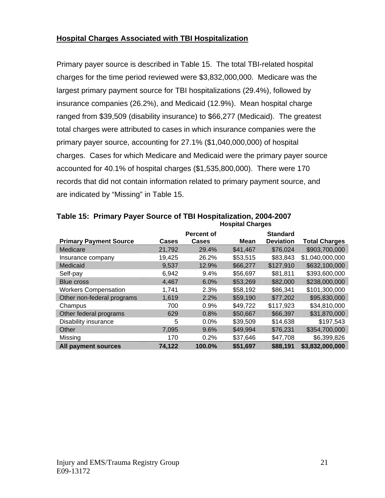## **Hospital Charges Associated with TBI Hospitalization**

Primary payer source is described in Table 15. The total TBI-related hospital charges for the time period reviewed were \$3,832,000,000. Medicare was the largest primary payment source for TBI hospitalizations (29.4%), followed by insurance companies (26.2%), and Medicaid (12.9%). Mean hospital charge ranged from \$39,509 (disability insurance) to \$66,277 (Medicaid). The greatest total charges were attributed to cases in which insurance companies were the primary payer source, accounting for 27.1% (\$1,040,000,000) of hospital charges. Cases for which Medicare and Medicaid were the primary payer source accounted for 40.1% of hospital charges (\$1,535,800,000). There were 170 records that did not contain information related to primary payment source, and are indicated by "Missing" in Table 15.

| <b>Primary Payment Source</b> | Cases  | <b>Percent of</b><br>Cases | Mean     | <b>Standard</b><br><b>Deviation</b> | <b>Total Charges</b> |
|-------------------------------|--------|----------------------------|----------|-------------------------------------|----------------------|
| Medicare                      | 21,792 | 29.4%                      | \$41,467 | \$76,024                            | \$903,700,000        |
| Insurance company             | 19,425 | 26.2%                      | \$53,515 | \$83,843                            | \$1,040,000,000      |
| Medicaid                      | 9,537  | 12.9%                      | \$66,277 | \$127,910                           | \$632,100,000        |
| Self-pay                      | 6,942  | 9.4%                       | \$56,697 | \$81,811                            | \$393,600,000        |
| <b>Blue cross</b>             | 4,467  | 6.0%                       | \$53,269 | \$82,000                            | \$238,000,000        |
| <b>Workers Compensation</b>   | 1.741  | 2.3%                       | \$58,192 | \$86,341                            | \$101,300,000        |
| Other non-federal programs    | 1,619  | 2.2%                       | \$59,190 | \$77,202                            | \$95,830,000         |
| Champus                       | 700    | 0.9%                       | \$49,722 | \$117,923                           | \$34,810,000         |
| Other federal programs        | 629    | 0.8%                       | \$50,667 | \$66,397                            | \$31,870,000         |
| Disability insurance          | 5      | 0.0%                       | \$39,509 | \$14,638                            | \$197,543            |
| Other                         | 7,095  | 9.6%                       | \$49,994 | \$76,231                            | \$354,700,000        |
| Missing                       | 170    | 0.2%                       | \$37,646 | \$47,708                            | \$6,399,826          |
| All payment sources           | 74,122 | 100.0%                     | \$51,697 | \$88,191                            | \$3,832,000,000      |

**Table 15: Primary Payer Source of TBI Hospitalization, 2004-2007 Hospital Charges**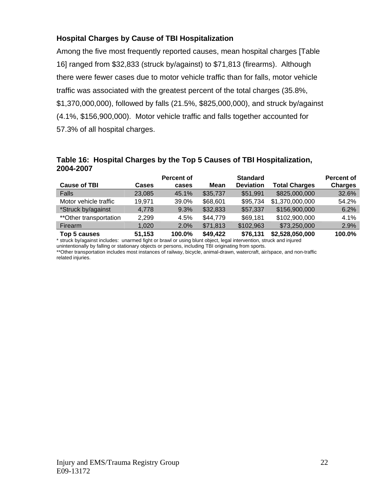## **Hospital Charges by Cause of TBI Hospitalization**

Among the five most frequently reported causes, mean hospital charges [Table 16] ranged from \$32,833 (struck by/against) to \$71,813 (firearms). Although there were fewer cases due to motor vehicle traffic than for falls, motor vehicle traffic was associated with the greatest percent of the total charges (35.8%, \$1,370,000,000), followed by falls (21.5%, \$825,000,000), and struck by/against (4.1%, \$156,900,000). Motor vehicle traffic and falls together accounted for 57.3% of all hospital charges.

#### **Table 16: Hospital Charges by the Top 5 Causes of TBI Hospitalization, 2004-2007**

|                         |               | <b>Percent of</b> |                | <b>Standard</b>  |                      | <b>Percent of</b> |
|-------------------------|---------------|-------------------|----------------|------------------|----------------------|-------------------|
| <b>Cause of TBI</b>     | Cases         | cases             | Mean           | <b>Deviation</b> | <b>Total Charges</b> | <b>Charges</b>    |
| Falls                   | 23.085        | 45.1%             | \$35,737       | \$51,991         | \$825,000,000        | 32.6%             |
| Motor vehicle traffic   | 19,971        | 39.0%             | \$68,601       | \$95,734         | \$1,370,000,000      | 54.2%             |
| *Struck by/against      | 4,778         | 9.3%              | \$32,833       | \$57,337         | \$156,900,000        | 6.2%              |
| ** Other transportation | 2.299         | 4.5%              | \$44,779       | \$69,181         | \$102,900,000        | 4.1%              |
| Firearm                 | 1.020         | 2.0%              | \$71,813       | \$102,963        | \$73,250,000         | 2.9%              |
| Ton <b>E</b> course     | <b>54 452</b> | <b>100.00/</b>    | <b>CAO AOO</b> | <b>¢76 121</b>   | ድኃ ፎኃዩ ሰፍሰ ሰሰሰ       | 100.00/           |

**Top 5 causes 51,153 100.0% \$49,422 \$76,131 \$2,528,050,000 100.0%** \* struck by/against includes: unarmed fight or brawl or using blunt object, legal intervention, struck and injured

unintentionally by falling or stationary objects or persons, including TBI originating from sports.

\*\*Other transportation includes most instances of railway, bicycle, animal-drawn, watercraft, air/space, and non-traffic

related injuries.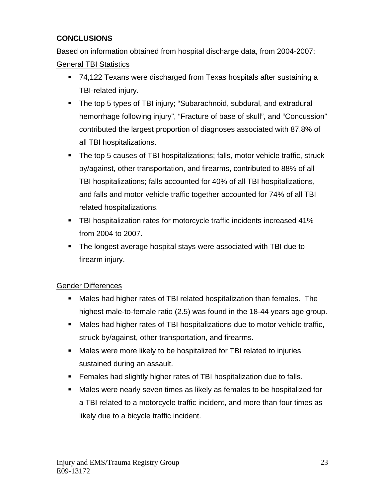## **CONCLUSIONS**

Based on information obtained from hospital discharge data, from 2004-2007:

General TBI Statistics

- 74,122 Texans were discharged from Texas hospitals after sustaining a TBI-related injury.
- The top 5 types of TBI injury; "Subarachnoid, subdural, and extradural hemorrhage following injury", "Fracture of base of skull", and "Concussion" contributed the largest proportion of diagnoses associated with 87.8% of all TBI hospitalizations.
- The top 5 causes of TBI hospitalizations; falls, motor vehicle traffic, struck by/against, other transportation, and firearms, contributed to 88% of all TBI hospitalizations; falls accounted for 40% of all TBI hospitalizations, and falls and motor vehicle traffic together accounted for 74% of all TBI related hospitalizations.
- **TBI hospitalization rates for motorcycle traffic incidents increased 41%** from 2004 to 2007.
- The longest average hospital stays were associated with TBI due to firearm injury.

## Gender Differences

- Males had higher rates of TBI related hospitalization than females. The highest male-to-female ratio (2.5) was found in the 18-44 years age group.
- Males had higher rates of TBI hospitalizations due to motor vehicle traffic, struck by/against, other transportation, and firearms.
- Males were more likely to be hospitalized for TBI related to injuries sustained during an assault.
- **Females had slightly higher rates of TBI hospitalization due to falls.**
- Males were nearly seven times as likely as females to be hospitalized for a TBI related to a motorcycle traffic incident, and more than four times as likely due to a bicycle traffic incident.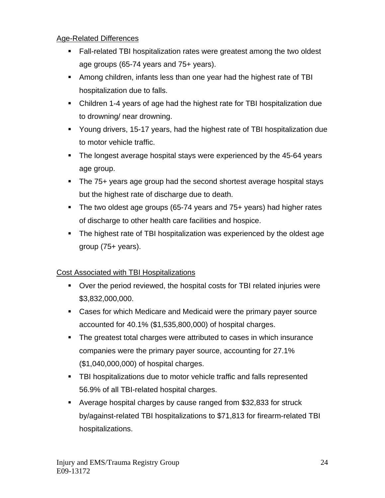## Age-Related Differences

- Fall-related TBI hospitalization rates were greatest among the two oldest age groups (65-74 years and 75+ years).
- Among children, infants less than one year had the highest rate of TBI hospitalization due to falls.
- Children 1-4 years of age had the highest rate for TBI hospitalization due to drowning/ near drowning.
- Young drivers, 15-17 years, had the highest rate of TBI hospitalization due to motor vehicle traffic.
- The longest average hospital stays were experienced by the 45-64 years age group.
- The 75+ years age group had the second shortest average hospital stays but the highest rate of discharge due to death.
- The two oldest age groups (65-74 years and 75+ years) had higher rates of discharge to other health care facilities and hospice.
- The highest rate of TBI hospitalization was experienced by the oldest age group (75+ years).

## Cost Associated with TBI Hospitalizations

- Over the period reviewed, the hospital costs for TBI related injuries were \$3,832,000,000.
- Cases for which Medicare and Medicaid were the primary payer source accounted for 40.1% (\$1,535,800,000) of hospital charges.
- The greatest total charges were attributed to cases in which insurance companies were the primary payer source, accounting for 27.1% (\$1,040,000,000) of hospital charges.
- **TBI hospitalizations due to motor vehicle traffic and falls represented** 56.9% of all TBI-related hospital charges.
- Average hospital charges by cause ranged from \$32,833 for struck by/against-related TBI hospitalizations to \$71,813 for firearm-related TBI hospitalizations.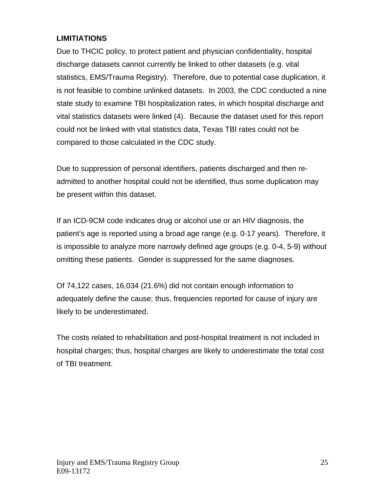## **LIMITIATIONS**

Due to THCIC policy, to protect patient and physician confidentiality, hospital discharge datasets cannot currently be linked to other datasets (e.g. vital statistics, EMS/Trauma Registry). Therefore, due to potential case duplication, it is not feasible to combine unlinked datasets. In 2003, the CDC conducted a nine state study to examine TBI hospitalization rates, in which hospital discharge and vital statistics datasets were linked (4). Because the dataset used for this report could not be linked with vital statistics data, Texas TBI rates could not be compared to those calculated in the CDC study.

Due to suppression of personal identifiers, patients discharged and then readmitted to another hospital could not be identified, thus some duplication may be present within this dataset.

If an ICD-9CM code indicates drug or alcohol use or an HIV diagnosis, the patient's age is reported using a broad age range (e.g. 0-17 years). Therefore, it is impossible to analyze more narrowly defined age groups (e.g. 0-4, 5-9) without omitting these patients. Gender is suppressed for the same diagnoses.

Of 74,122 cases, 16,034 (21.6%) did not contain enough information to adequately define the cause; thus, frequencies reported for cause of injury are likely to be underestimated.

The costs related to rehabilitation and post-hospital treatment is not included in hospital charges; thus, hospital charges are likely to underestimate the total cost of TBI treatment.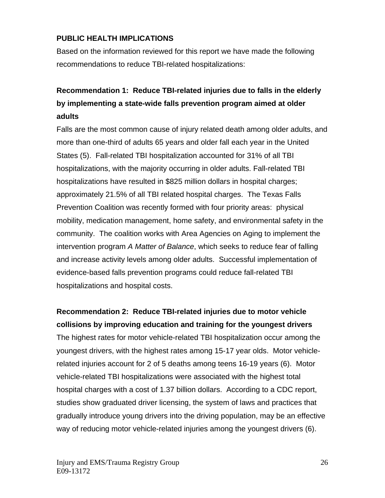## **PUBLIC HEALTH IMPLICATIONS**

Based on the information reviewed for this report we have made the following recommendations to reduce TBI-related hospitalizations:

## **Recommendation 1: Reduce TBI-related injuries due to falls in the elderly by implementing a state-wide falls prevention program aimed at older adults**

Falls are the most common cause of injury related death among older adults, and more than one-third of adults 65 years and older fall each year in the United States (5). Fall-related TBI hospitalization accounted for 31% of all TBI hospitalizations, with the majority occurring in older adults. Fall-related TBI hospitalizations have resulted in \$825 million dollars in hospital charges; approximately 21.5% of all TBI related hospital charges. The Texas Falls Prevention Coalition was recently formed with four priority areas: physical mobility, medication management, home safety, and environmental safety in the community. The coalition works with Area Agencies on Aging to implement the intervention program *A Matter of Balance*, which seeks to reduce fear of falling and increase activity levels among older adults. Successful implementation of evidence-based falls prevention programs could reduce fall-related TBI hospitalizations and hospital costs.

**Recommendation 2: Reduce TBI-related injuries due to motor vehicle collisions by improving education and training for the youngest drivers** The highest rates for motor vehicle-related TBI hospitalization occur among the youngest drivers, with the highest rates among 15-17 year olds. Motor vehiclerelated injuries account for 2 of 5 deaths among teens 16-19 years (6). Motor vehicle-related TBI hospitalizations were associated with the highest total hospital charges with a cost of 1.37 billion dollars. According to a CDC report, studies show graduated driver licensing, the system of laws and practices that gradually introduce young drivers into the driving population, may be an effective way of reducing motor vehicle-related injuries among the youngest drivers (6).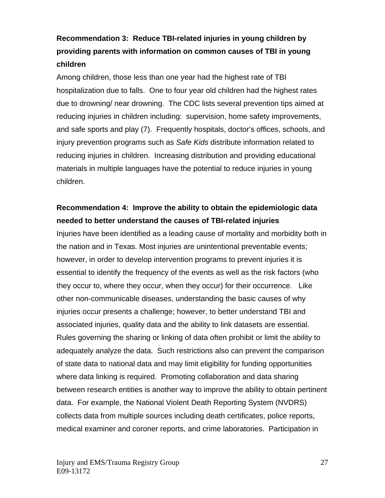## **Recommendation 3: Reduce TBI-related injuries in young children by providing parents with information on common causes of TBI in young children**

Among children, those less than one year had the highest rate of TBI hospitalization due to falls. One to four year old children had the highest rates due to drowning/ near drowning. The CDC lists several prevention tips aimed at reducing injuries in children including: supervision, home safety improvements, and safe sports and play (7). Frequently hospitals, doctor's offices, schools, and injury prevention programs such as *Safe Kids* distribute information related to reducing injuries in children. Increasing distribution and providing educational materials in multiple languages have the potential to reduce injuries in young children.

## **Recommendation 4: Improve the ability to obtain the epidemiologic data needed to better understand the causes of TBI-related injuries**

Injuries have been identified as a leading cause of mortality and morbidity both in the nation and in Texas. Most injuries are unintentional preventable events; however, in order to develop intervention programs to prevent injuries it is essential to identify the frequency of the events as well as the risk factors (who they occur to, where they occur, when they occur) for their occurrence. Like other non-communicable diseases, understanding the basic causes of why injuries occur presents a challenge; however, to better understand TBI and associated injuries, quality data and the ability to link datasets are essential. Rules governing the sharing or linking of data often prohibit or limit the ability to adequately analyze the data. Such restrictions also can prevent the comparison of state data to national data and may limit eligibility for funding opportunities where data linking is required. Promoting collaboration and data sharing between research entities is another way to improve the ability to obtain pertinent data. For example, the National Violent Death Reporting System (NVDRS) collects data from multiple sources including death certificates, police reports, medical examiner and coroner reports, and crime laboratories. Participation in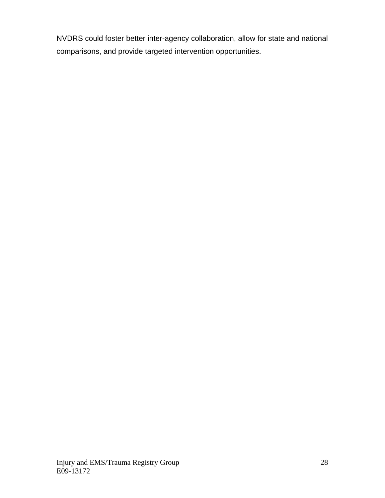NVDRS could foster better inter-agency collaboration, allow for state and national comparisons, and provide targeted intervention opportunities.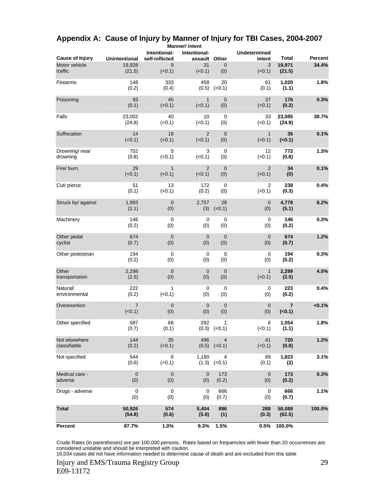| <b>Cause of Injury</b>        | <b>Unintentional</b> | Intentional-<br>self-inflicted | Intentional-<br>assault  | Other                 | <b>Undetermined</b><br>intent | <b>Total</b>         | <b>Percent</b> |
|-------------------------------|----------------------|--------------------------------|--------------------------|-----------------------|-------------------------------|----------------------|----------------|
| Motor vehicle<br>traffic      | 19.928<br>(21.5)     | 9<br>(<0.1)                    | 31<br>(<0.1)             | 0<br>(0)              | 3<br>(<0.1)                   | 19,971<br>(21.5)     | 34.4%          |
| Firearms                      | 148<br>(0.2)         | 333<br>(0.4)                   | 458<br>(0.5)             | 20<br>(<0.1)          | 61<br>(0.1)                   | 1,020<br>(1.1)       | 1.8%           |
| Poisoning                     | 93<br>(0.1)          | 45<br>(<0.1)                   | $\mathbf{1}$<br>(<0.1)   | $\mathbf 0$<br>(0)    | 37<br>(<0.1)                  | 176<br>(0.2)         | 0.3%           |
| Falls                         | 23,002<br>(24.8)     | 40<br>(<0.1)                   | 10<br>$(0.1)$            | 0<br>(0)              | 33<br>(<0.1)                  | 23,085<br>(24.9)     | 39.7%          |
| Suffocation                   | 14<br>(<0.1)         | 18<br>(<0.1)                   | $\overline{2}$<br>(<0.1) | $\mathbf 0$<br>(0)    | $\mathbf{1}$<br>(<0.1)        | 35<br>( <b>0.1</b> ) | 0.1%           |
| Drowning/ near<br>drowning    | 752<br>(0.8)         | 5<br>(<0.1)                    | 3<br>$(0.1)$             | 0<br>(0)              | 12<br>(<0.1)                  | 772<br>(0.8)         | 1.3%           |
| Fire/ burn                    | 29<br>(<0.1)         | $\mathbf{1}$<br>(<0.1)         | $\overline{2}$<br>(<0.1) | $\mathbf 0$<br>(0)    | $\overline{2}$<br>(<0.1)      | 34<br>(0)            | 0.1%           |
| Cut/ pierce                   | 51<br>(0.1)          | 13<br>(<0.1)                   | 172<br>(0.2)             | 0<br>(0)              | 2<br>(<0.1)                   | 238<br>(0.3)         | 0.4%           |
| Struck by/ against            | 1,993<br>(2.1)       | $\pmb{0}$<br>(0)               | 2,757<br>(3)             | 28<br>(<0.1)          | $\mathbf 0$<br>(0)            | 4,778<br>(5.1)       | 8.2%           |
| Machinery                     | 146<br>(0.2)         | 0<br>(0)                       | 0<br>(0)                 | 0<br>(0)              | 0<br>(0)                      | 146<br>(0.2)         | 0.3%           |
| Other pedal<br>cyclist        | 674<br>(0.7)         | $\mathbf 0$<br>(0)             | $\overline{0}$<br>(0)    | $\mathbf 0$<br>(0)    | $\mathbf 0$<br>(0)            | 674<br>(0.7)         | 1.2%           |
| Other pedestrian              | 194<br>(0.2)         | $\pmb{0}$<br>(0)               | 0<br>(0)                 | 0<br>(0)              | 0<br>(0)                      | 194<br>(0.2)         | 0.3%           |
| Other<br>transportation       | 2,298<br>(2.5)       | $\mathbf 0$<br>(0)             | $\mathbf 0$<br>(0)       | $\mathbf 0$<br>(0)    | $\mathbf{1}$<br>(<0.1)        | 2,299<br>(2.5)       | 4.0%           |
| Natural/<br>environmental     | 222<br>(0.2)         | 1<br>(<0.1)                    | 0<br>(0)                 | 0<br>(0)              | 0<br>(0)                      | 223<br>(0.2)         | 0.4%           |
| Overexertion                  | 7<br>(<0.1)          | $\mathbf 0$<br>(0)             | $\mathbf 0$<br>(0)       | $\mathbf 0$<br>(0)    | $\mathbf 0$<br>(0)            | 7<br>( < 0.1)        | <0.1%          |
| Other specified               | 687<br>(0.7)         | 68<br>(0.1)                    | 292<br>(0.3)             | 1<br>(0.1)            | 6<br>(<0.1)                   | 1,054<br>(1.1)       | 1.8%           |
| Not elsewhere<br>classifiable | 144<br>(0.2)         | 35<br>(<0.1)                   | 496                      | 4<br>$(0.5)$ $(<0.1)$ | 41<br>(<0.1)                  | 720<br>(0.8)         | 1.2%           |
| Not specified                 | 544<br>(0.6)         | 6<br>(<0.1)                    | 1,180<br>(1.3)           | 4<br>(< 0.1)          | 89<br>(0.1)                   | 1,823<br>(2)         | 3.1%           |
| Medical care -<br>adverse     | $\mathbf 0$<br>(0)   | $\mathbf 0$<br>(0)             | $\mathbf 0$<br>(0)       | 173<br>(0.2)          | 0<br>(0)                      | 173<br>(0.2)         | 0.3%           |
| Drugs - adverse               | $\mathbf 0$<br>(0)   | $\pmb{0}$<br>(0)               | 0<br>(0)                 | 666<br>(0.7)          | 0<br>(0)                      | 666<br>(0.7)         | 1.1%           |
| <b>Total</b>                  | 50,926<br>(54.8)     | 574<br>(0.6)                   | 5,404<br>(5.8)           | 896<br>(1)            | 288<br>(0.3)                  | 58,088<br>(62.5)     | 100.0%         |
| <b>Percent</b>                | 87.7%                | 1.0%                           | 9.3%                     | 1.5%                  | 0.5%                          | 100.0%               |                |

#### **Appendix A: Cause of Injury by Manner of Injury for TBI Cases, 2004-2007 Manner/ intent**

Crude Rates (in parentheses) are per 100,000 persons. Rates based on frequencies with fewer than 20 occurrences are considered unstable and should be interpreted with caution.

16,034 cases did not have information needed to determine cause of death and are excluded from this table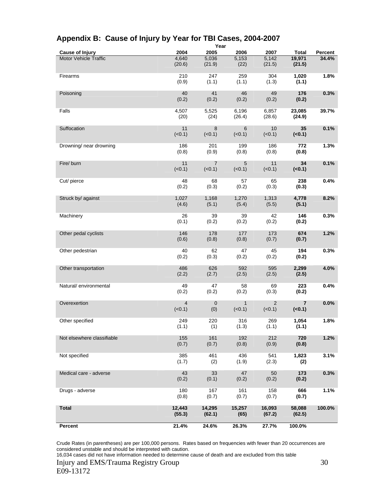| <b>Cause of Injury</b>       | 2004                     | 2005                     | ι σαι<br>2006         | 2007             | <b>Total</b>         | Percent |
|------------------------------|--------------------------|--------------------------|-----------------------|------------------|----------------------|---------|
| <b>Motor Vehicle Traffic</b> | 4,640<br>(20.6)          | 5,036<br>(21.9)          | 5,153<br>(22)         | 5,142<br>(21.5)  | 19,971<br>(21.5)     | 34.4%   |
| Firearms                     | 210<br>(0.9)             | 247<br>(1.1)             | 259<br>(1.1)          | 304<br>(1.3)     | 1,020<br>(1.1)       | 1.8%    |
| Poisoning                    | 40<br>(0.2)              | 41<br>(0.2)              | 46<br>(0.2)           | 49<br>(0.2)      | 176<br>(0.2)         | 0.3%    |
| Falls                        | 4,507<br>(20)            | 5,525<br>(24)            | 6,196<br>(26.4)       | 6,857<br>(28.6)  | 23,085<br>(24.9)     | 39.7%   |
| Suffocation                  | 11<br>(<0.1)             | 8<br>(<0.1)              | 6<br>(<0.1)           | 10<br>(<0.1)     | 35<br>( <b>0.1</b> ) | 0.1%    |
| Drowning/ near drowning      | 186<br>(0.8)             | 201<br>(0.9)             | 199<br>(0.8)          | 186<br>(0.8)     | 772<br>(0.8)         | 1.3%    |
| Fire/burn                    | 11<br>(<0.1)             | $\overline{7}$<br>(<0.1) | 5<br>(<0.1)           | 11<br>(<0.1)     | 34<br>( <b>0.1</b> ) | 0.1%    |
| Cut/ pierce                  | 48<br>(0.2)              | 68<br>(0.3)              | 57<br>(0.2)           | 65<br>(0.3)      | 238<br>(0.3)         | 0.4%    |
| Struck by/ against           | 1,027<br>(4.6)           | 1,168<br>(5.1)           | 1,270<br>(5.4)        | 1,313<br>(5.5)   | 4,778<br>(5.1)       | 8.2%    |
| Machinery                    | 26<br>(0.1)              | 39<br>(0.2)              | 39<br>(0.2)           | 42<br>(0.2)      | 146<br>(0.2)         | 0.3%    |
| Other pedal cyclists         | 146<br>(0.6)             | 178<br>(0.8)             | 177<br>(0.8)          | 173<br>(0.7)     | 674<br>(0.7)         | 1.2%    |
| Other pedestrian             | 40<br>(0.2)              | 62<br>(0.3)              | 47<br>(0.2)           | 45<br>(0.2)      | 194<br>(0.2)         | 0.3%    |
| Other transportation         | 486<br>(2.2)             | 626<br>(2.7)             | 592<br>(2.5)          | 595<br>(2.5)     | 2,299<br>(2.5)       | 4.0%    |
| Natural/environmental        | 49<br>(0.2)              | 47<br>(0.2)              | 58<br>(0.2)           | 69<br>(0.3)      | 223<br>(0.2)         | 0.4%    |
| Overexertion                 | $\overline{4}$<br>(<0.1) | $\mathbf 0$<br>(0)       | $\mathbf 1$<br>(<0.1) | 2<br>(<0.1)      | 7<br>(0.1)           | 0.0%    |
| Other specified              | 249<br>(1.1)             | 220<br>(1)               | 316<br>(1.3)          | 269<br>(1.1)     | 1,054<br>(1.1)       | 1.8%    |
| Not elsewhere classifiable   | 155<br>(0.7)             | 161<br>(0.7)             | 192<br>(0.8)          | 212<br>(0.9)     | 720<br>(0.8)         | 1.2%    |
| Not specified                | 385<br>(1.7)             | 461<br>(2)               | 436<br>(1.9)          | 541<br>(2.3)     | 1,823<br>(2)         | 3.1%    |
| Medical care - adverse       | 43<br>(0.2)              | 33<br>(0.1)              | 47<br>(0.2)           | 50<br>(0.2)      | 173<br>(0.2)         | 0.3%    |
| Drugs - adverse              | 180<br>(0.8)             | 167<br>(0.7)             | 161<br>(0.7)          | 158<br>(0.7)     | 666<br>(0.7)         | 1.1%    |
| <b>Total</b>                 | 12,443<br>(55.3)         | 14,295<br>(62.1)         | 15,257<br>(65)        | 16,093<br>(67.2) | 58,088<br>(62.5)     | 100.0%  |
| Percent                      | 21.4%                    | 24.6%                    | 26.3%                 | 27.7%            | 100.0%               |         |

#### **Appendix B: Cause of Injury by Year for TBI Cases, 2004-2007 Year**

Crude Rates (in parentheses) are per 100,000 persons. Rates based on frequencies with fewer than 20 occurrences are considered unstable and should be interpreted with caution.

16,034 cases did not have information needed to determine cause of death and are excluded from this table